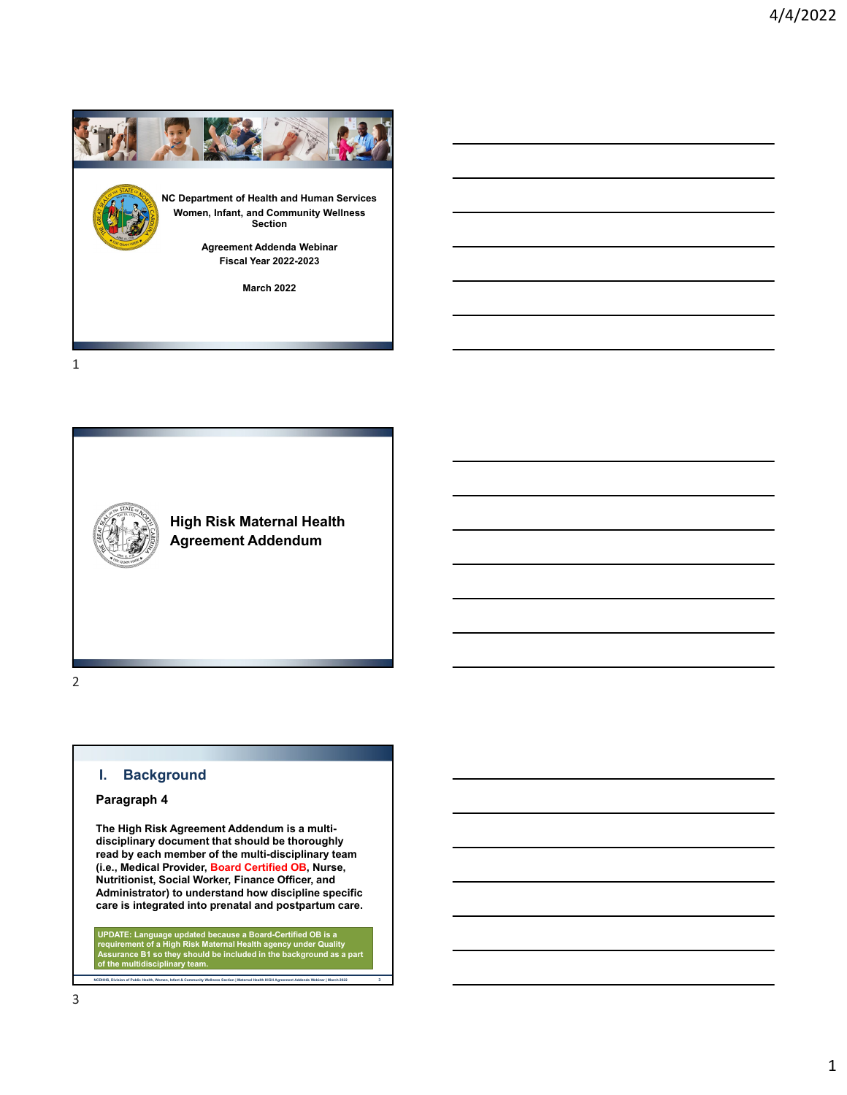

1



**High Risk Maternal Health Agreement Addendum**

2

# **I. Background**

### **Paragraph 4**

**The High Risk Agreement Addendum is a multidisciplinary document that should be thoroughly read by each member of the multi-disciplinary team (i.e., Medical Provider, Board Certified OB, Nurse, Nutritionist, Social Worker, Finance Officer, and Administrator) to understand how discipline specific care is integrated into prenatal and postpartum care.**

UPDATE: Language updated because a Board-Certified OB is a<br>requirement of a High Risk Maternal Health agency under Quality<br>Assurance B1 so they should be included in the background as a part<br>of the multidisciplinary team.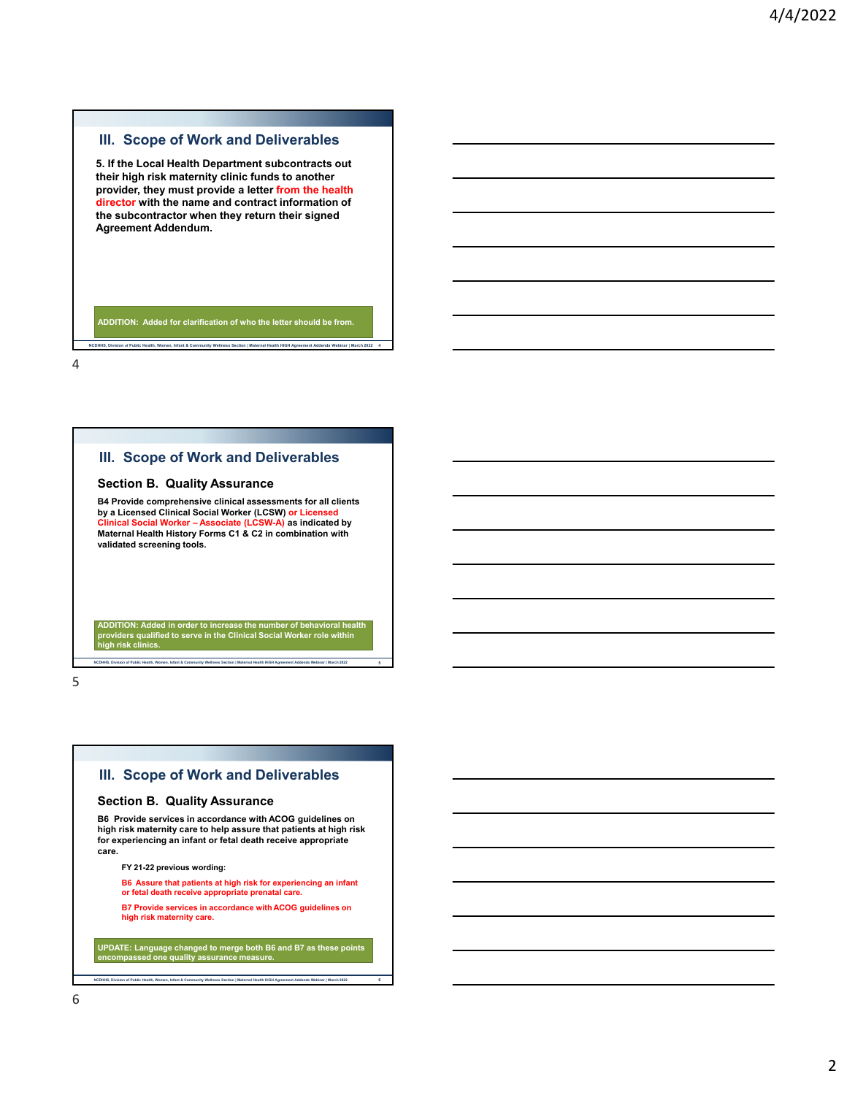**5. If the Local Health Department subcontracts out their high risk maternity clinic funds to another provider, they must provide a letter from the health director with the name and contract information of the subcontractor when they return their signed Agreement Addendum.**

**ADDITION: Added for clarification of who the letter should be from.**

**NCDHHS, Division of Public Health, Women, Infant & Community Wellness Section | Maternal Health HIGH Agreement Addenda Webinar | March 2022 4**

4

### **III. Scope of Work and Deliverables**

#### **Section B. Quality Assurance**

**B4 Provide comprehensive clinical assessments for all clients by a Licensed Clinical Social Worker (LCSW) or Licensed Clinical Social Worker – Associate (LCSW-A) as indicated by Maternal Health History Forms C1 & C2 in combination with validated screening tools.**

**ADDITION: Added in order to increase the number of behavioral health providers qualified to serve in the Clinical Social Worker role within high risk clinics.**

5

# **III. Scope of Work and Deliverables**

#### **Section B. Quality Assurance**

**NCDHHS, Division of Public Health, Women, Infant & Community Wellness Section | Maternal Health HIGH Agreement Addenda Webinar | March 2022 5**

**B6 Provide services in accordance with ACOG guidelines on high risk maternity care to help assure that patients at high risk for experiencing an infant or fetal death receive appropriate care.**

**FY 21-22 previous wording:**

**B6 Assure that patients at high risk for experiencing an infant** 

**or fetal death receive appropriate prenatal care. B7 Provide services in accordance with ACOG guidelines on**

**high risk maternity care.**

**UPDATE: Language changed to merge both B6 and B7 as these points encompassed one quality assurance measure.**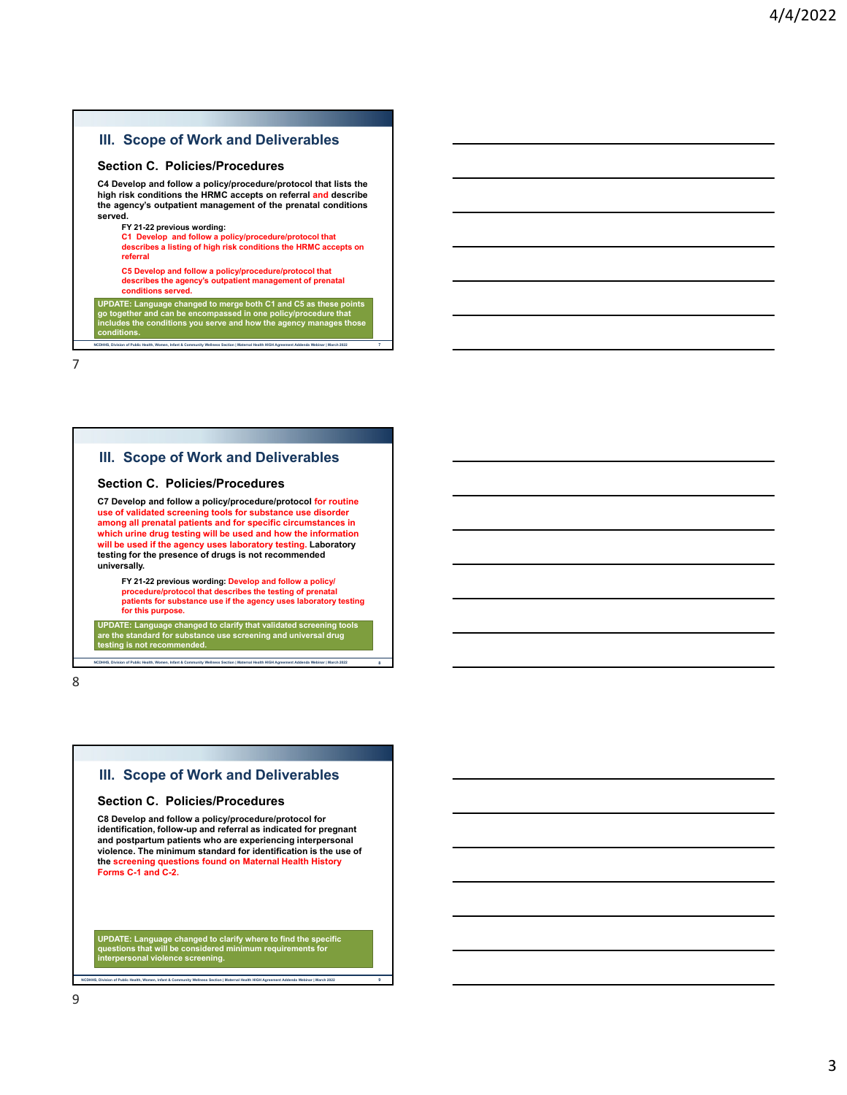### **Section C. Policies/Procedures**

**C4 Develop and follow a policy/procedure/protocol that lists the high risk conditions the HRMC accepts on referral and describe the agency's outpatient management of the prenatal conditions served.**

#### **FY 21-22 previous wording:**

**C1 Develop and follow a policy/procedure/protocol that describes a listing of high risk conditions the HRMC accepts on referral**

**C5 Develop and follow a policy/procedure/protocol that describes the agency's outpatient management of prenatal conditions served.**

UPDATE: Language changed to merge both C1 and C5 as these points<br>go together and can be encompassed in one policy/procedure that<br>includes the conditions you serve and how the agency manages those<br>conditions.

**NCDHHS, Division of Public Health, Women, Infant & Community Wellness Section | Maternal Health HIGH Agreement Addenda Webinar | March 2022 7**

7

### **III. Scope of Work and Deliverables**

#### **Section C. Policies/Procedures**

**C7 Develop and follow a policy/procedure/protocol for routine use of validated screening tools for substance use disorder among all prenatal patients and for specific circumstances in which urine drug testing will be used and how the information will be used if the agency uses laboratory testing. Laboratory testing for the presence of drugs is not recommended universally.**

**FY 21-22 previous wording: Develop and follow a policy/ procedure/protocol that describes the testing of prenatal patients for substance use if the agency uses laboratory testing for this purpose.**

**UPDATE: Language changed to clarify that validated screening tools are the standard for substance use screening and universal drug the is not recommended** 

**NCDHHS, Division of Public Health, Women, Infant & Community Wellness Section | Maternal Health HIGH Agreement Addenda Webinar | March 2022 8**

8

### **III. Scope of Work and Deliverables**

#### **Section C. Policies/Procedures**

**C8 Develop and follow a policy/procedure/protocol for identification, follow-up and referral as indicated for pregnant and postpartum patients who are experiencing interpersonal violence. The minimum standard for identification is the use of the screening questions found on Maternal Health History Forms C-1 and C-2.**

**UPDATE: Language changed to clarify where to find the specific questions that will be considered minimum requirements for interpersonal violence screening.**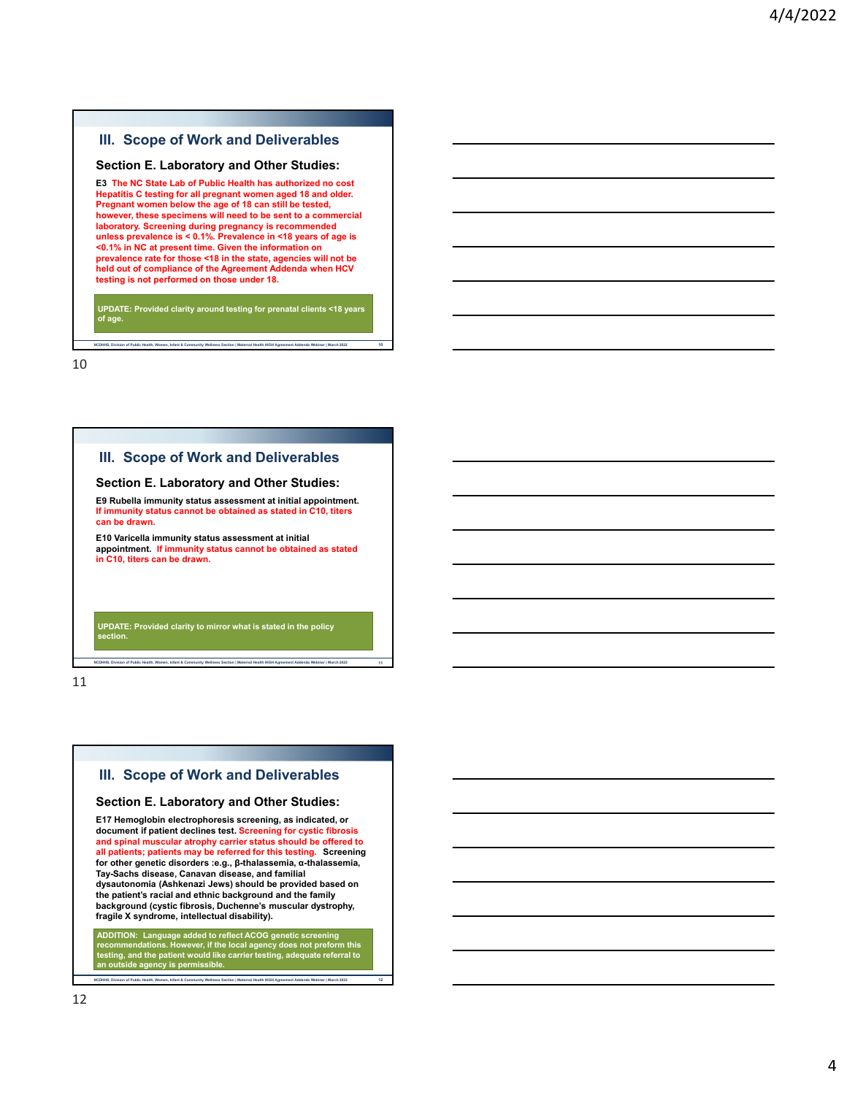#### **Section E. Laboratory and Other Studies:**

**E3 The NC State Lab of Public Health has authorized no cost Hepatitis C testing for all pregnant women aged 18 and older. Pregnant women below the age of 18 can still be tested, however, these specimens will need to be sent to a commercial laboratory. Screening during pregnancy is recommended unless prevalence is < 0.1%. Prevalence in <18 years of age is <0.1% in NC at present time. Given the information on prevalence rate for those <18 in the state, agencies will not be held out of compliance of the Agreement Addenda when HCV testing is not performed on those under 18.**

**UPDATE: Provided clarity around testing for prenatal clients <18 years of age.**

**NCDHHS, Division of Public Health, Women, Infant & Community Wellness Section | Maternal Health HIGH Agreement Addenda Webinar | March 2022 10**

10

### **III. Scope of Work and Deliverables**

#### **Section E. Laboratory and Other Studies:**

**E9 Rubella immunity status assessment at initial appointment. If immunity status cannot be obtained as stated in C10, titers can be drawn.**

**E10 Varicella immunity status assessment at initial appointment. If immunity status cannot be obtained as stated in C10, titers can be drawn.**

**UPDATE: Provided clarity to mirror what is stated in the policy section.**

**NCDHHS, Division of Public Health, Women, Infant & Community Wellness Section | Maternal Health HIGH Agreement Addenda Webinar | March 2022 11**

11

### **III. Scope of Work and Deliverables**

#### **Section E. Laboratory and Other Studies:**

**E17 Hemoglobin electrophoresis screening, as indicated, or document if patient declines test. Screening for cystic fibrosis and spinal muscular atrophy carrier status should be offered to all patients; patients may be referred for this testing. Screening for other genetic disorders :e.g., β-thalassemia, α-thalassemia, Tay-Sachs disease, Canavan disease, and familial dysautonomia (Ashkenazi Jews) should be provided based on the patient's racial and ethnic background and the family background (cystic fibrosis, Duchenne's muscular dystrophy, fragile X syndrome, intellectual disability).**

ADDITION: Language added to reflect ACOG genetic screening<br>recommendations. However, if the local agency does not preform this<br>testing, and the patient would like carrier testing, adequate referral to<br>an outside agency is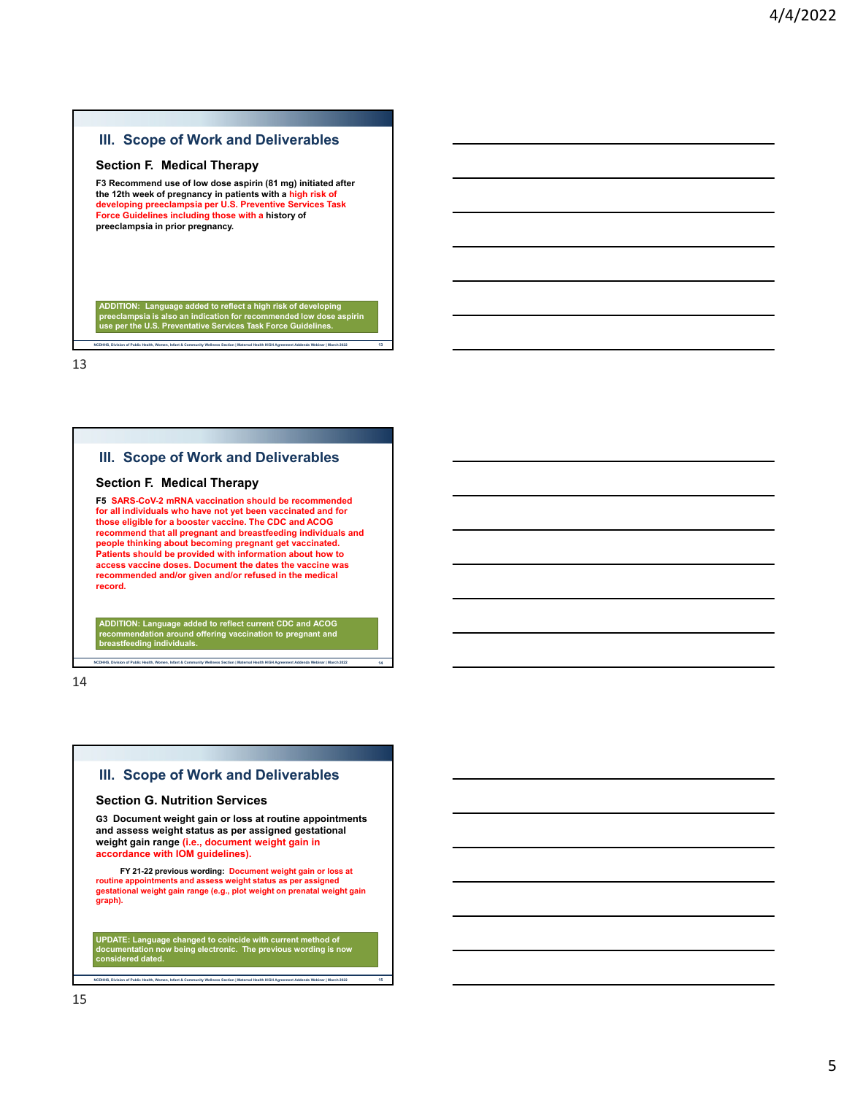#### **Section F. Medical Therapy**

**F3 Recommend use of low dose aspirin (81 mg) initiated after the 12th week of pregnancy in patients with a high risk of developing preeclampsia per U.S. Preventive Services Task Force Guidelines including those with a history of preeclampsia in prior pregnancy.**

ADDITION: Language added to reflect a high risk of developing<br>preeclampsia is also an indication for recommended low dose aspirin<br>use per the U.S. Preventative Services Task Force Guidelines.

**NCDHHS, Division of Public Health, Women, Infant & Community Wellness Section | Maternal Health HIGH Agreement Addenda Webinar | March 2022 13**

13

### **III. Scope of Work and Deliverables**

### **Section F. Medical Therapy**

**F5 SARS-CoV-2 mRNA vaccination should be recommended for all individuals who have not yet been vaccinated and for those eligible for a booster vaccine. The CDC and ACOG recommend that all pregnant and breastfeeding individuals and people thinking about becoming pregnant get vaccinated. Patients should be provided with information about how to access vaccine doses. Document the dates the vaccine was recommended and/or given and/or refused in the medical record.**

**ADDITION: Language added to reflect current CDC and ACOG recommendation around offering vaccination to pregnant and breastfeeding individuals.**

**NCDHHS, Division of Public Health, Women, Infant & Community Wellness Section | Maternal Health HIGH Agreement Addenda Webinar | March 2022 14**

14

### **III. Scope of Work and Deliverables**

#### **Section G. Nutrition Services**

**G3 Document weight gain or loss at routine appointments and assess weight status as per assigned gestational weight gain range (i.e., document weight gain in accordance with IOM guidelines).**

**FY 21-22 previous wording: Document weight gain or loss at routine appointments and assess weight status as per assigned gestational weight gain range (e.g., plot weight on prenatal weight gain graph).**

**UPDATE: Language changed to coincide with current method of documentation now being electronic. The previous wording is now considered dated.**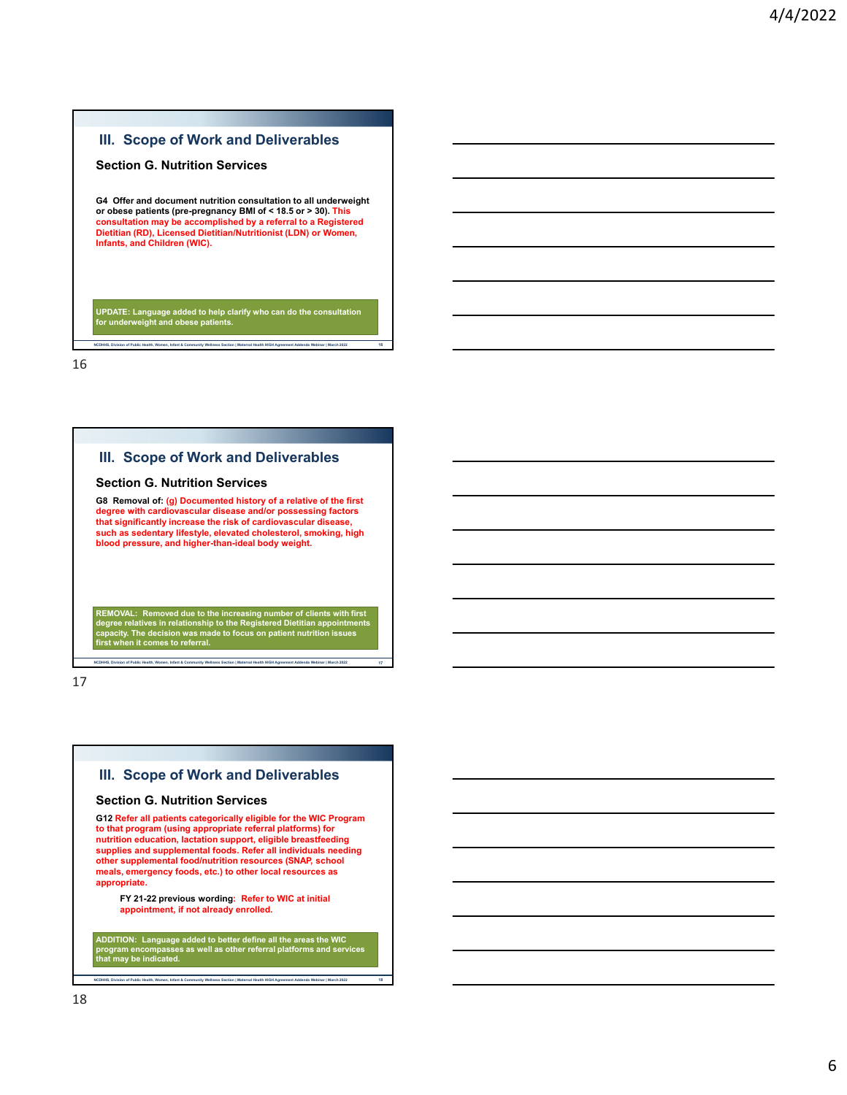### **Section G. Nutrition Services**

**G4 Offer and document nutrition consultation to all underweight or obese patients (pre-pregnancy BMI of < 18.5 or > 30). This consultation may be accomplished by a referral to a Registered Dietitian (RD), Licensed Dietitian/Nutritionist (LDN) or Women, Infants, and Children (WIC).**

**NCDHHS, Division of Public Health, Women, Infant & Community Wellness Section | Maternal Health HIGH Agreement Addenda Webinar | March 2022 16**

**UPDATE: Language added to help clarify who can do the consultation for underweight and obese patients.**

16

### **III. Scope of Work and Deliverables**

#### **Section G. Nutrition Services**

**G8 Removal of: (g) Documented history of a relative of the first degree with cardiovascular disease and/or possessing factors that significantly increase the risk of cardiovascular disease, such as sedentary lifestyle, elevated cholesterol, smoking, high blood pressure, and higher-than-ideal body weight.**

REMOVAL: Removed due to the increasing number of clients with first<br>degree relatives in relationship to the Registered Dietitian appointments<br>capacity. The decision was made to focus on patient nutrition issues<br>first when

**NS, Division of Public Health, Women, Infant & Community Wellness Section | Maternal Health HIGH Agreement Addenda Webinar | March 2022** 

17

### **III. Scope of Work and Deliverables**

#### **Section G. Nutrition Services**

**G12 Refer all patients categorically eligible for the WIC Program to that program (using appropriate referral platforms) for nutrition education, lactation support, eligible breastfeeding supplies and supplemental foods. Refer all individuals needing other supplemental food/nutrition resources (SNAP, school meals, emergency foods, etc.) to other local resources as appropriate.**

**FY 21-22 previous wording: Refer to WIC at initial appointment, if not already enrolled.**

**ADDITION: Language added to better define all the areas the WIC program encompasses as well as other referral platforms and services**  program encompasses<br>that may be indicated<mark>.</mark>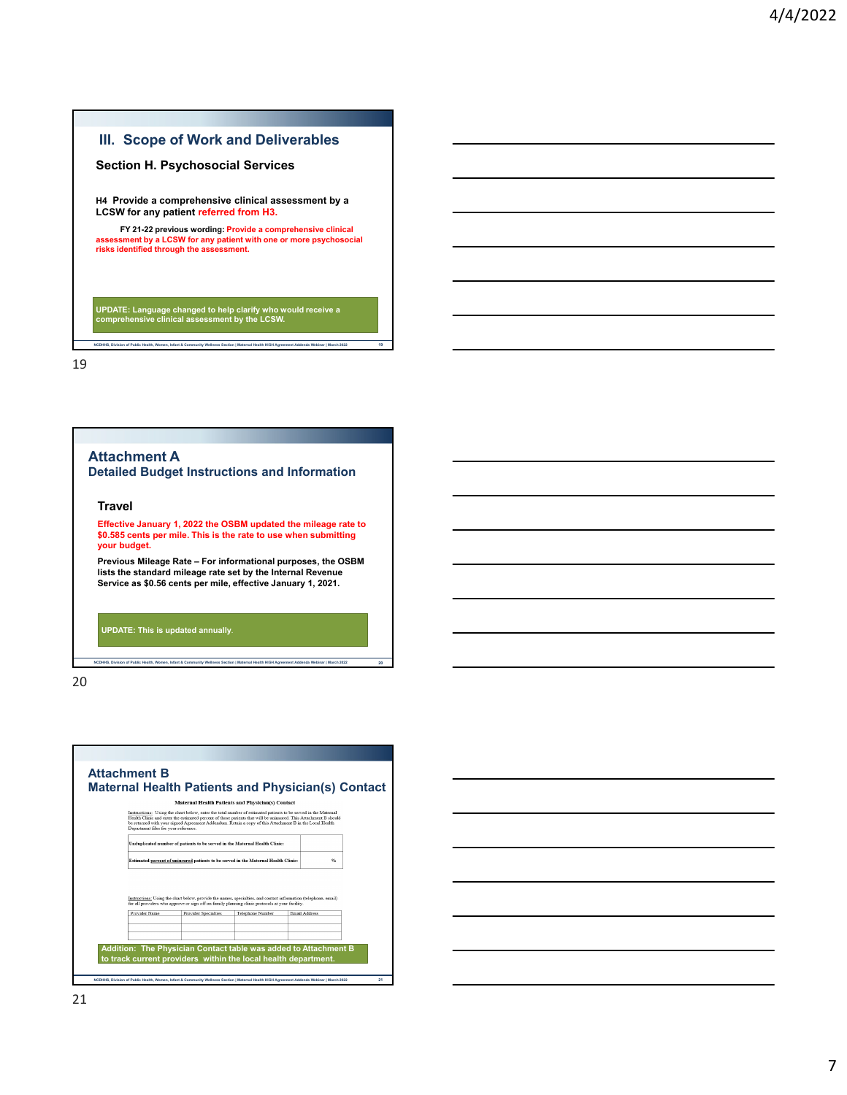### **Section H. Psychosocial Services**

**H4 Provide a comprehensive clinical assessment by a LCSW for any patient referred from H3.**

**FY 21-22 previous wording: Provide a comprehensive clinical assessment by a LCSW for any patient with one or more psychosocial risks identified through the assessment.**

**UPDATE: Language changed to help clarify who would receive a comprehensive clinical assessment by the LCSW.**

**NCDHHS, Division of Public Health, Women, Infant & Community Wellness Section | Maternal Health HIGH Agreement Addenda Webinar | March 2022 19**

19

**Attachment A**

**Detailed Budget Instructions and Information**

#### **Travel**

**Effective January 1, 2022 the OSBM updated the mileage rate to \$0.585 cents per mile. This is the rate to use when submitting your budget.**

**Previous Mileage Rate – For informational purposes, the OSBM lists the standard mileage rate set by the Internal Revenue Service as \$0.56 cents per mile, effective January 1, 2021.**

**NCDHHS, Division of Public Health, Women, Infant & Community Wellness Section | Maternal Health HIGH Agreement Addenda Webinar | March 2022 20**

**UPDATE: This is updated annually**.

20